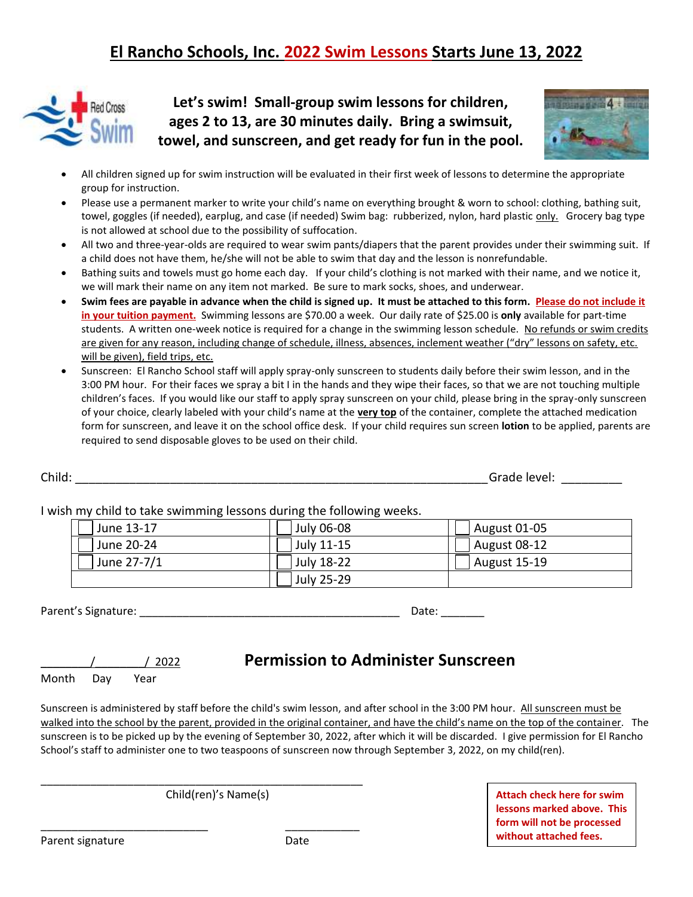# **El Rancho Schools, Inc. 2022 Swim Lessons Starts June 13, 2022**



**Let's swim! Small-group swim lessons for children, ages 2 to 13, are 30 minutes daily. Bring a swimsuit, towel, and sunscreen, and get ready for fun in the pool.**



- All children signed up for swim instruction will be evaluated in their first week of lessons to determine the appropriate group for instruction.
- Please use a permanent marker to write your child's name on everything brought & worn to school: clothing, bathing suit, towel, goggles (if needed), earplug, and case (if needed) Swim bag: rubberized, nylon, hard plastic only. Grocery bag type is not allowed at school due to the possibility of suffocation.
- All two and three-year-olds are required to wear swim pants/diapers that the parent provides under their swimming suit. If a child does not have them, he/she will not be able to swim that day and the lesson is nonrefundable.
- Bathing suits and towels must go home each day. If your child's clothing is not marked with their name, and we notice it, we will mark their name on any item not marked. Be sure to mark socks, shoes, and underwear.
- **Swim fees are payable in advance when the child is signed up. It must be attached to this form. Please do not include it in your tuition payment.** Swimming lessons are \$70.00 a week. Our daily rate of \$25.00 is **only** available for part-time students. A written one-week notice is required for a change in the swimming lesson schedule. No refunds or swim credits are given for any reason, including change of schedule, illness, absences, inclement weather ("dry" lessons on safety, etc. will be given), field trips, etc.
- Sunscreen: El Rancho School staff will apply spray-only sunscreen to students daily before their swim lesson, and in the 3:00 PM hour. For their faces we spray a bit I in the hands and they wipe their faces, so that we are not touching multiple children's faces. If you would like our staff to apply spray sunscreen on your child, please bring in the spray-only sunscreen of your choice, clearly labeled with your child's name at the **very top** of the container, complete the attached medication form for sunscreen, and leave it on the school office desk. If your child requires sun screen **lotion** to be applied, parents are required to send disposable gloves to be used on their child.

I wish my child to take swimming lessons during the following weeks.

| June 13-17  | July 06-08 | August 01-05 |
|-------------|------------|--------------|
| June 20-24  | July 11-15 | August 08-12 |
| June 27-7/1 | July 18-22 | August 15-19 |
|             | July 25-29 |              |

Parent's Signature: \_\_\_\_\_\_\_\_\_\_\_\_\_\_\_\_\_\_\_\_\_\_\_\_\_\_\_\_\_\_\_\_\_\_\_\_\_\_\_\_\_\_ Date: \_\_\_\_\_\_\_

Month Day Year

### \_\_\_\_\_\_\_\_/\_\_\_\_\_\_\_\_/ 2022 **Permission to Administer Sunscreen**

Sunscreen is administered by staff before the child's swim lesson, and after school in the 3:00 PM hour. All sunscreen must be walked into the school by the parent, provided in the original container, and have the child's name on the top of the container. The sunscreen is to be picked up by the evening of September 30, 2022, after which it will be discarded. I give permission for El Rancho School's staff to administer one to two teaspoons of sunscreen now through September 3, 2022, on my child(ren).

Child(ren)'s Name(s)

\_\_\_\_\_\_\_\_\_\_\_\_\_\_\_\_\_\_\_\_\_\_\_\_\_\_\_\_\_\_\_\_\_\_\_\_\_\_\_\_\_\_\_\_\_\_\_\_\_\_\_\_

\_\_\_\_\_\_\_\_\_\_\_\_\_\_\_\_\_\_\_\_\_\_\_\_\_\_\_ \_\_\_\_\_\_\_\_\_\_\_\_

**Attach check here for swim lessons marked above. This form will not be processed without attached fees.** 

Parent signature Date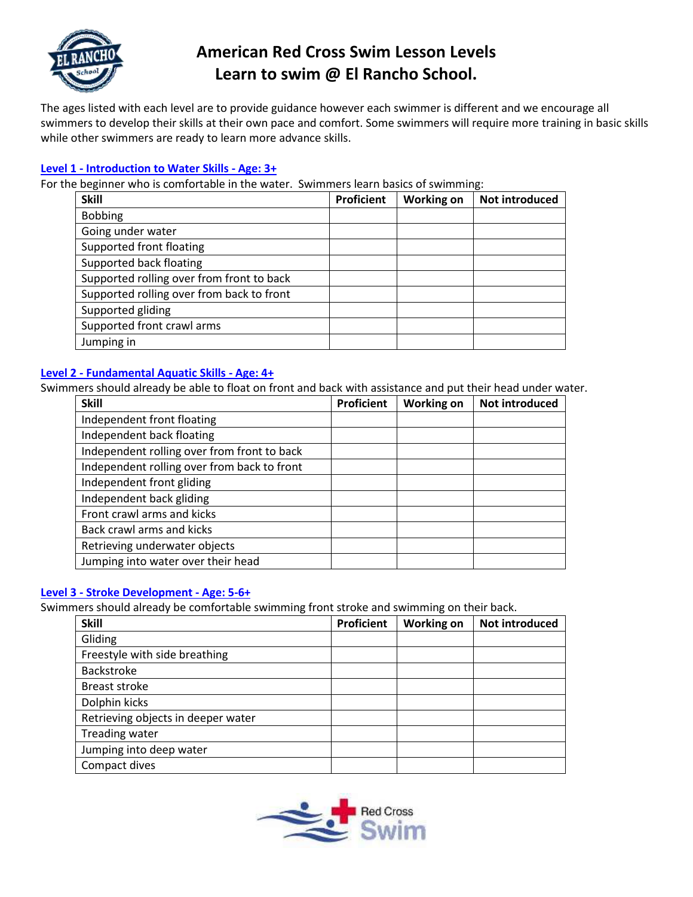

# **American Red Cross Swim Lesson Levels Learn to swim @ El Rancho School.**

The ages listed with each level are to provide guidance however each swimmer is different and we encourage all swimmers to develop their skills at their own pace and comfort. Some swimmers will require more training in basic skills while other swimmers are ready to learn more advance skills.

### **Level 1 - [Introduction to Water Skills -](https://www.safeswim.com/red-cross-swim-lesson-levels/) Age: 3+**

For the beginner who is comfortable in the water. Swimmers learn basics of swimming:

| <b>Skill</b>                              | Proficient | <b>Working on</b> | Not introduced |
|-------------------------------------------|------------|-------------------|----------------|
| <b>Bobbing</b>                            |            |                   |                |
| Going under water                         |            |                   |                |
| Supported front floating                  |            |                   |                |
| Supported back floating                   |            |                   |                |
| Supported rolling over from front to back |            |                   |                |
| Supported rolling over from back to front |            |                   |                |
| Supported gliding                         |            |                   |                |
| Supported front crawl arms                |            |                   |                |
| Jumping in                                |            |                   |                |

#### **Level 2 - [Fundamental Aquatic Skills -](https://www.safeswim.com/red-cross-swim-lesson-levels/) Age: 4+**

Swimmers should already be able to float on front and back with assistance and put their head under water.

| <b>Skill</b>                                | <b>Proficient</b> | <b>Working on</b> | <b>Not introduced</b> |
|---------------------------------------------|-------------------|-------------------|-----------------------|
| Independent front floating                  |                   |                   |                       |
| Independent back floating                   |                   |                   |                       |
| Independent rolling over from front to back |                   |                   |                       |
| Independent rolling over from back to front |                   |                   |                       |
| Independent front gliding                   |                   |                   |                       |
| Independent back gliding                    |                   |                   |                       |
| Front crawl arms and kicks                  |                   |                   |                       |
| Back crawl arms and kicks                   |                   |                   |                       |
| Retrieving underwater objects               |                   |                   |                       |
| Jumping into water over their head          |                   |                   |                       |

#### **Level 3 - [Stroke Development -](https://www.safeswim.com/red-cross-swim-lesson-levels/) Age: 5-6+**

Swimmers should already be comfortable swimming front stroke and swimming on their back.

| <b>Skill</b>                       | Proficient | <b>Working on</b> | Not introduced |
|------------------------------------|------------|-------------------|----------------|
| Gliding                            |            |                   |                |
| Freestyle with side breathing      |            |                   |                |
| Backstroke                         |            |                   |                |
| Breast stroke                      |            |                   |                |
| Dolphin kicks                      |            |                   |                |
| Retrieving objects in deeper water |            |                   |                |
| Treading water                     |            |                   |                |
| Jumping into deep water            |            |                   |                |
| Compact dives                      |            |                   |                |